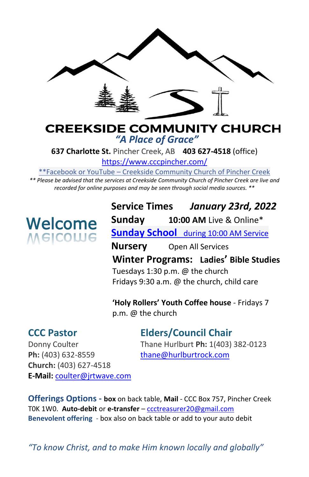

#### **CREEKSIDE COMMUNITY CHURCH** *"A Place of Grace"*

**637 Charlotte St.** Pincher Creek, AB **403 627-4518** (office)

<https://www.cccpincher.com/>

\*\*Facebook or YouTube – Creekside Community Church of Pincher Creek

*\*\* Please be advised that the services at Creekside Community Church of Pincher Creek are live and recorded for online purposes and may be seen through social media sources. \*\**

# **Welcome**<br>Melcolue

**Service Times** *January 23rd, 2022* **Sunday 10:00 AM** Live & Online\* **Sunday School** during 10:00 AM Service **Nursery** Open All Services **Winter Programs: Ladies' Bible Studies** Tuesdays 1:30 p.m. @ the church

Fridays 9:30 a.m. @ the church, child care

**'Holy Rollers' Youth Coffee house** - Fridays 7 p.m. @ the church

**CCC Pastor Elders/Council Chair**

Ph: (403) 632-8559 [thane@hurlburtrock.com](mailto:thane@hurlburtrock.com) **Church:** (403) 627-4518 **E-Mail:** [coulter@jrtwave.com](mailto:coulter@jrtwave.com)

Donny Coulter Thane Hurlburt **Ph:** 1(403) 382-0123

**Offerings Options - box** on back table, **Mail** - CCC Box 757, Pincher Creek T0K 1W0. **Auto-debit** or **e-transfer** – [ccctreasurer20@gmail.com](mailto:ccctreasurer20@gmail.com) **Benevolent offering** - box also on back table or add to your auto debit

*"To know Christ, and to make Him known locally and globally"*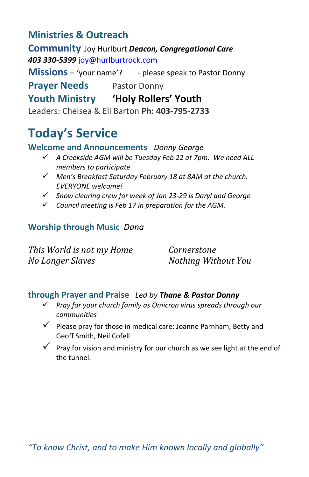### **Ministries & Outreach**

**Community** Joy Hurlburt *Deacon, Congregational Care 403 330-5399* [joy@hurlburtrock.com](mailto:joy@hurlburtrock.com)

**Missions** – 'your name'? - please speak to Pastor Donny

**Prayer Needs** Pastor Donny

#### **Youth Ministry 'Holy Rollers' Youth**

Leaders: Chelsea & Eli Barton **Ph: 403-795-2733**

## **Today's Service**

**Welcome and Announcements** *Donny George*

- ✓ *A Creekside AGM will be Tuesday Feb 22 at 7pm. We need ALL members to participate*
- ✓ *Men's Breakfast Saturday February 18 at 8AM at the church. EVERYONE welcome!*
- ✓ *Snow clearing crew for week of Jan 23-29 is Daryl and George*
- ✓ *Council meeting is Feb 17 in preparation for the AGM.*

#### **Worship through Music** *Dana*

*This World is not my Home Cornerstone No Longer Slaves Nothing Without You*

#### **through Prayer and Praise** *Led by Thane & Pastor Donny*

- ✓ *Pray for your church family as Omicron virus spreads through our communities*
- ✓ Please pray for those in medical care: Joanne Parnham, Betty and Geoff Smith, Neil Cofell
- $\checkmark$  Pray for vision and ministry for our church as we see light at the end of the tunnel.

*"To know Christ, and to make Him known locally and globally"*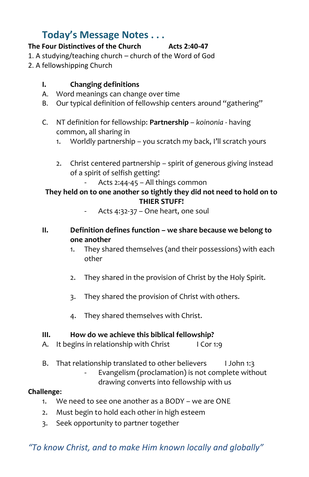#### **Today's Message Notes . . .**

#### **The Four Distinctives of the Church Acts 2:40-47**

#### 1. A studying/teaching church – church of the Word of God

2. A fellowshipping Church

#### **I. Changing definitions**

- A. Word meanings can change over time
- B. Our typical definition of fellowship centers around "gathering"
- C. NT definition for fellowship: **Partnership** *koinonia* having common, all sharing in
	- 1. Worldly partnership you scratch my back, I'll scratch yours
	- 2. Christ centered partnership spirit of generous giving instead of a spirit of selfish getting!
		- Acts 2:44-45 All things common

#### **They held on to one another so tightly they did not need to hold on to THIER STUFF!**

- Acts 4:32-37 One heart, one soul
- **II. Definition defines function – we share because we belong to one another**
	- 1. They shared themselves (and their possessions) with each other
	- 2. They shared in the provision of Christ by the Holy Spirit.
	- 3. They shared the provision of Christ with others.
	- 4. They shared themselves with Christ.

#### **III. How do we achieve this biblical fellowship?**

- A. It begins in relationship with Christ I Cor 1:9
- B. That relationship translated to other believers I John 1:3
	- Evangelism (proclamation) is not complete without drawing converts into fellowship with us

#### **Challenge:**

- 1. We need to see one another as a BODY we are ONE
- 2. Must begin to hold each other in high esteem
- 3. Seek opportunity to partner together

#### *"To know Christ, and to make Him known locally and globally"*